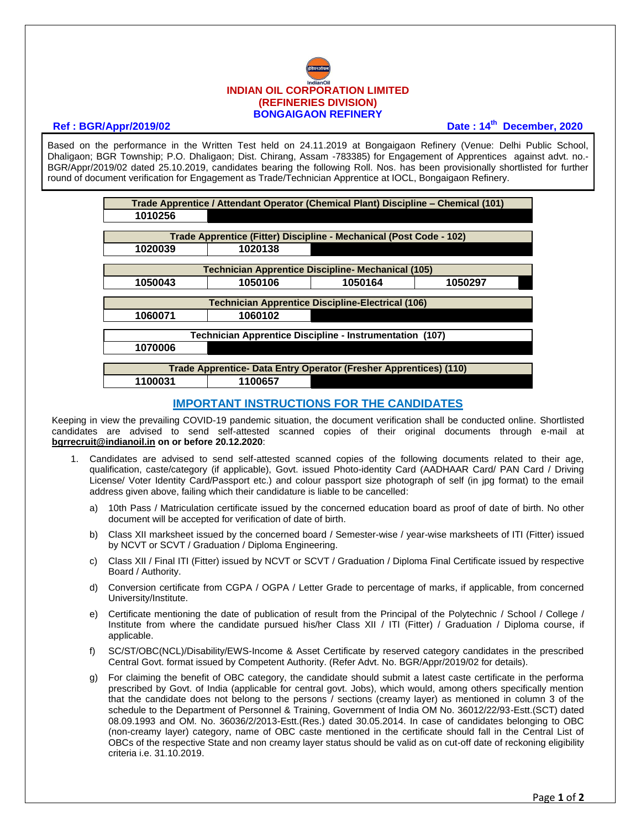## **INDIAN OIL CORPORATION LIMITED (REFINERIES DIVISION) BONGAIGAON REFINERY**

## **Ref : BGR/Appr/2019/02 Date : 14th December, 2020**

Based on the performance in the Written Test held on 24.11.2019 at Bongaigaon Refinery (Venue: Delhi Public School, Dhaligaon; BGR Township; P.O. Dhaligaon; Dist. Chirang, Assam -783385) for Engagement of Apprentices against advt. no.- BGR/Appr/2019/02 dated 25.10.2019, candidates bearing the following Roll. Nos. has been provisionally shortlisted for further round of document verification for Engagement as Trade/Technician Apprentice at IOCL, Bongaigaon Refinery.

| Trade Apprentice / Attendant Operator (Chemical Plant) Discipline – Chemical (101) |         |         |         |
|------------------------------------------------------------------------------------|---------|---------|---------|
| 1010256                                                                            |         |         |         |
|                                                                                    |         |         |         |
| Trade Apprentice (Fitter) Discipline - Mechanical (Post Code - 102)                |         |         |         |
| 1020039                                                                            | 1020138 |         |         |
|                                                                                    |         |         |         |
| <b>Technician Apprentice Discipline- Mechanical (105)</b>                          |         |         |         |
| 1050043                                                                            | 1050106 | 1050164 | 1050297 |
|                                                                                    |         |         |         |
| <b>Technician Apprentice Discipline-Electrical (106)</b>                           |         |         |         |
| 1060071                                                                            | 1060102 |         |         |
|                                                                                    |         |         |         |
| Technician Apprentice Discipline - Instrumentation (107)                           |         |         |         |
| 1070006                                                                            |         |         |         |
|                                                                                    |         |         |         |
| Trade Apprentice- Data Entry Operator (Fresher Apprentices) (110)                  |         |         |         |
| 1100031                                                                            | 1100657 |         |         |

## **IMPORTANT INSTRUCTIONS FOR THE CANDIDATES**

Keeping in view the prevailing COVID-19 pandemic situation, the document verification shall be conducted online. Shortlisted candidates are advised to send self-attested scanned copies of their original documents through e-mail at **[bgrrecruit@indianoil.in](mailto:bgrrecruit@indianoil.in) on or before 20.12.2020**:

- 1. Candidates are advised to send self-attested scanned copies of the following documents related to their age, qualification, caste/category (if applicable), Govt. issued Photo-identity Card (AADHAAR Card/ PAN Card / Driving License/ Voter Identity Card/Passport etc.) and colour passport size photograph of self (in jpg format) to the email address given above, failing which their candidature is liable to be cancelled:
	- a) 10th Pass / Matriculation certificate issued by the concerned education board as proof of date of birth. No other document will be accepted for verification of date of birth.
	- b) Class XII marksheet issued by the concerned board / Semester-wise / year-wise marksheets of ITI (Fitter) issued by NCVT or SCVT / Graduation / Diploma Engineering.
	- c) Class XII / Final ITI (Fitter) issued by NCVT or SCVT / Graduation / Diploma Final Certificate issued by respective Board / Authority.
	- d) Conversion certificate from CGPA / OGPA / Letter Grade to percentage of marks, if applicable, from concerned University/Institute.
	- e) Certificate mentioning the date of publication of result from the Principal of the Polytechnic / School / College / Institute from where the candidate pursued his/her Class XII / ITI (Fitter) / Graduation / Diploma course, if applicable.
	- f) SC/ST/OBC(NCL)/Disability/EWS-Income & Asset Certificate by reserved category candidates in the prescribed Central Govt. format issued by Competent Authority. (Refer Advt. No. BGR/Appr/2019/02 for details).
	- g) For claiming the benefit of OBC category, the candidate should submit a latest caste certificate in the performa prescribed by Govt. of India (applicable for central govt. Jobs), which would, among others specifically mention that the candidate does not belong to the persons / sections (creamy layer) as mentioned in column 3 of the schedule to the Department of Personnel & Training, Government of India OM No. 36012/22/93-Estt.(SCT) dated 08.09.1993 and OM. No. 36036/2/2013-Estt.(Res.) dated 30.05.2014. In case of candidates belonging to OBC (non-creamy layer) category, name of OBC caste mentioned in the certificate should fall in the Central List of OBCs of the respective State and non creamy layer status should be valid as on cut-off date of reckoning eligibility criteria i.e. 31.10.2019.